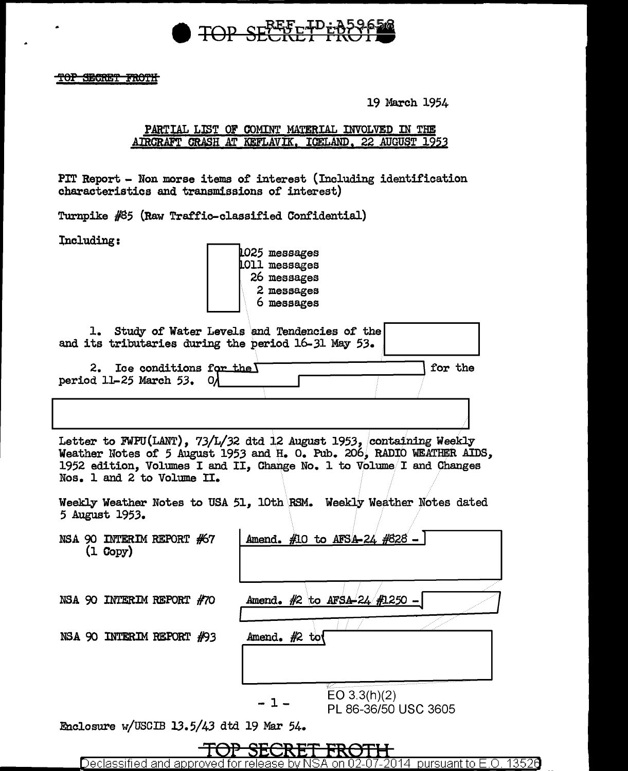

TOP SECRET FROTH

19 March 1954

#### PARTIAL LIST OF COMINT MATERIAL INVOLVED IN THE AIRCRAFT CRASH AT KEFLAVIK, ICELAND, 22 AUGUST 1953

PIT Report - Non morse items of interest (Including identification characteristics and transmissions of interest)

Turnpike #85 (Raw Traffic-classified Confidential)

Including:

1025 messages LO11 messages 26 messages 2 messages 6 messages

| 1. Study of Water Levels and Tendencies of the<br>and its tributaries during the period 16-31 May 53.                                                                                                                                               |                                                                      |
|-----------------------------------------------------------------------------------------------------------------------------------------------------------------------------------------------------------------------------------------------------|----------------------------------------------------------------------|
| 2. Ice conditions for the $\Gamma$<br>period 11-25 March 53. O/                                                                                                                                                                                     | for the                                                              |
|                                                                                                                                                                                                                                                     |                                                                      |
| Letter to FWPU(LANT), 73/L/32 dtd 12 August 1953, containing Weekly<br>Weather Notes of 5 August 1953 and H. O. Pub. 206, RADIO WEATHER AIDS,<br>1952 edition, Volumes I and II, Change No. 1 to Volume I and Changes<br>Nos. 1 and 2 to Volume II. |                                                                      |
| 5 August 1953.                                                                                                                                                                                                                                      | Weekly Weather Notes to USA 51, 10th RSM. Weekly Weather Notes dated |
| NSA 90 INTERIM REPORT #67<br>$(1 \text{ Copy})$                                                                                                                                                                                                     | Amend. #10 to AFSA-24 #828 -                                         |
| NSA 90 INTERIM REPORT #70                                                                                                                                                                                                                           | Amend. #2 to AFSA-24 #1250 -                                         |
| NSA 90 INTERIM REPORT #93                                                                                                                                                                                                                           | Amend. $#2$ to                                                       |
|                                                                                                                                                                                                                                                     | EO $3.3(h)(2)$<br>PL 86-36/50 USC 3605                               |

Enclosure w/USCIB 13.5/43 dtd 19 Mar 54.



Declassified and approved for on 02-07-2014 pursuant to E.O. 13526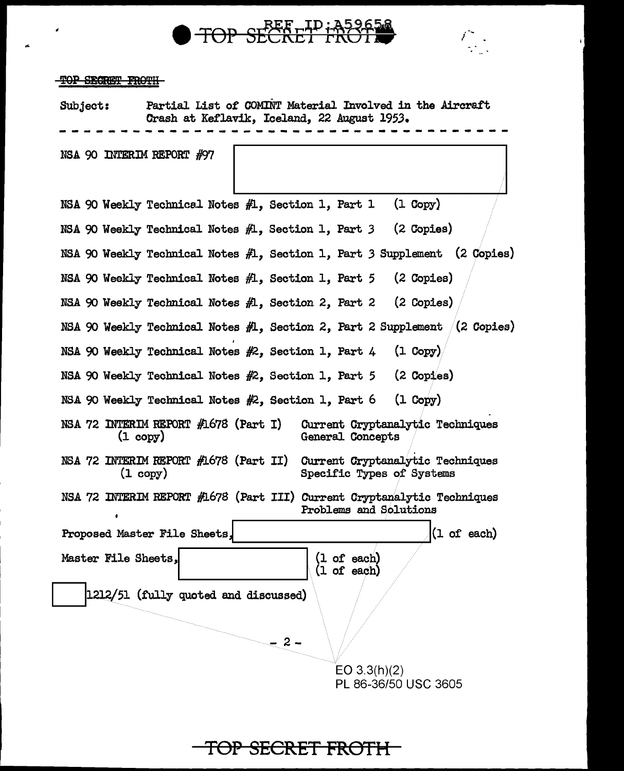



#### TOP SECRET FROTH

...

Subject: Partial List 0£ COMINT Material Involved in the Aircraft Crash at Keflavik, Iceland, 22 August 1953. --------~---------------------------- NSA 90 INTERIM REPORT #97 NSA 90 Weekly Technicel Notes  $#1$ , Section 1, Part 1 (1 Copy) NSA 90 Weekly Technical Notes */11,* Section 1, Part *3* (2 Copies) NSA 90 Weekly Technical Notes  $f\!\!\!\!\perp$ , Section 1, Part 3 Supplement (2 Copies) NSA 90 Weekly Technical Notes  $#1$ , Section 1, Part 5 (2 Copies) NSA 90 Weekly Technical Notes *1/1,* Section 2, Part 2 (2 Copies) NSA 90 Weekly Technical Notes  $#1$ , Section 2, Part 2 Supplement  $(2 \text{ Copies})$ NSA 90 Weekly Technical Notes  $#2$ , Section 1, Part 4 (1 Copy) NSA 90 Weekly Technical Notes #2, Section 1, Part 5 (2 Copies) NSA 90 Weekly Technical Notes  $#2$ , Section 1, Part 6 (1 Copy) NSA 72 INTERIM REPORT  $#1678$  (Part I) (1 copy) NSA 72 INTERIM REPORT #1678 (Part II)  $(1 \text{ copy})$ Current Cryptanalytic Techniques General Concepts CUrrent Cryptanalytic Techniques Specific Types of Systems NSA 72 INTERIM REPORT #1678 (Part III) Gurrent Cryptanalytic Techniques Problems and Solutions Proposed Master File Sheets,  $(1 \text{ of each})$ Master File Sheets, 1212/51 (fully quoted and discussed)  $-2 -$ (1 or eacb) (1 or each) EO 3.3(h)(2) PL 86-36/50 USC 3605

# **TOP SECRET FROTH**